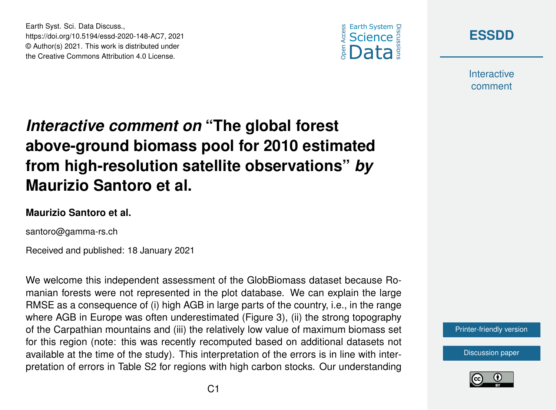



**Interactive** comment

## *Interactive comment on* **"The global forest above-ground biomass pool for 2010 estimated from high-resolution satellite observations"** *by* **Maurizio Santoro et al.**

## **Maurizio Santoro et al.**

Earth Syst. Sci. Data Discuss.,

https://doi.org/10.5194/essd-2020-148-AC7, 2021 © Author(s) 2021. This work is distributed under the Creative Commons Attribution 4.0 License.

santoro@gamma-rs.ch

Received and published: 18 January 2021

We welcome this independent assessment of the GlobBiomass dataset because Romanian forests were not represented in the plot database. We can explain the large RMSE as a consequence of (i) high AGB in large parts of the country, i.e., in the range where AGB in Europe was often underestimated (Figure 3), (ii) the strong topography of the Carpathian mountains and (iii) the relatively low value of maximum biomass set for this region (note: this was recently recomputed based on additional datasets not available at the time of the study). This interpretation of the errors is in line with interpretation of errors in Table S2 for regions with high carbon stocks. Our understanding

[Printer-friendly version](https://essd.copernicus.org/preprints/essd-2020-148/essd-2020-148-AC7-print.pdf)

[Discussion paper](https://essd.copernicus.org/preprints/essd-2020-148)